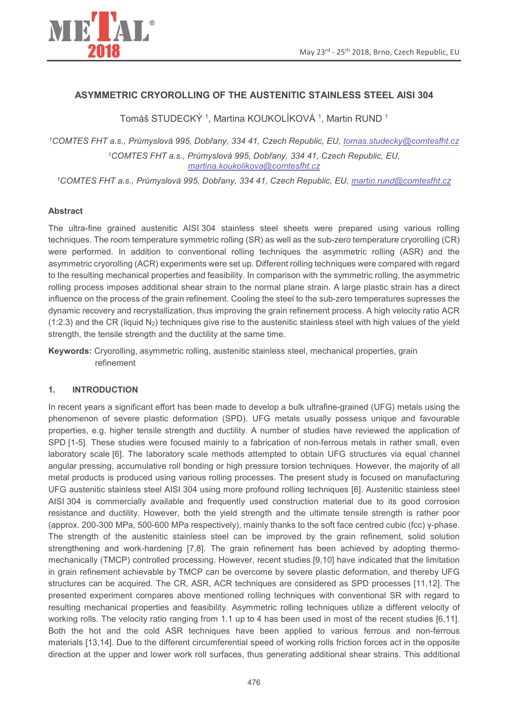

## **ASYMMETRIC CRYOROLLING OF THE AUSTENITIC STAINLESS STEEL AISI 304**

Tomáš STUDECKÝ<sup>1</sup>, Martina KOUKOLÍKOVÁ<sup>1</sup>, Martin RUND<sup>1</sup>

<sup>1</sup>COMTES FHT a.s., Průmyslová 995, Dobřany, 334 41, Czech Republic, EU, tomas.studecky@comtesfht.cz <sup>1</sup>COMTES FHT a.s., Průmyslová 995, Dobřany, 334 41, Czech Republic, EU, martina.koukolikova@comtesfht.cz

<sup>1</sup>COMTES FHT a.s., Průmyslová 995, Dobřany, 334 41, Czech Republic, EU, martin.rund@comtesfht.cz

### **Abstract**

The ultra-fine grained austenitic AISI 304 stainless steel sheets were prepared using various rolling techniques. The room temperature symmetric rolling (SR) as well as the sub-zero temperature cryorolling (CR) were performed. In addition to conventional rolling techniques the asymmetric rolling (ASR) and the asymmetric cryorolling (ACR) experiments were set up. Different rolling techniques were compared with regard to the resulting mechanical properties and feasibility. In comparison with the symmetric rolling, the asymmetric rolling process imposes additional shear strain to the normal plane strain. A large plastic strain has a direct influence on the process of the grain refinement. Cooling the steel to the sub-zero temperatures supresses the dynamic recovery and recrystallization, thus improving the grain refinement process. A high velocity ratio ACR (1:2.3) and the CR (liquid N<sub>2</sub>) techniques give rise to the austenitic stainless steel with high values of the yield strength, the tensile strength and the ductility at the same time.

Keywords: Cryorolling, asymmetric rolling, austenitic stainless steel, mechanical properties, grain refinement

#### **INTRODUCTION**  $\mathbf{1}$

In recent vears a significant effort has been made to develop a bulk ultrafine-grained (UFG) metals using the phenomenon of severe plastic deformation (SPD). UFG metals usually possess unique and favourable properties, e.g. higher tensile strength and ductility. A number of studies have reviewed the application of SPD [1-5]. These studies were focused mainly to a fabrication of non-ferrous metals in rather small, even laboratory scale [6]. The laboratory scale methods attempted to obtain UFG structures via equal channel angular pressing, accumulative roll bonding or high pressure torsion techniques. However, the majority of all metal products is produced using various rolling processes. The present study is focused on manufacturing UFG austenitic stainless steel AISI 304 using more profound rolling techniques [6]. Austenitic stainless steel AISI 304 is commercially available and frequently used construction material due to its good corrosion resistance and ductility. However, both the yield strength and the ultimate tensile strength is rather poor (approx. 200-300 MPa, 500-600 MPa respectively), mainly thanks to the soft face centred cubic (fcc) γ-phase. The strength of the austenitic stainless steel can be improved by the grain refinement, solid solution strengthening and work-hardening [7,8]. The grain refinement has been achieved by adopting thermomechanically (TMCP) controlled processing. However, recent studies [9,10] have indicated that the limitation in grain refinement achievable by TMCP can be overcome by severe plastic deformation, and thereby UFG structures can be acquired. The CR, ASR, ACR techniques are considered as SPD processes [11,12]. The presented experiment compares above mentioned rolling techniques with conventional SR with regard to resulting mechanical properties and feasibility. Asymmetric rolling techniques utilize a different velocity of working rolls. The velocity ratio ranging from 1.1 up to 4 has been used in most of the recent studies [6,11]. Both the hot and the cold ASR techniques have been applied to various ferrous and non-ferrous materials [13,14]. Due to the different circumferential speed of working rolls friction forces act in the opposite direction at the upper and lower work roll surfaces, thus generating additional shear strains. This additional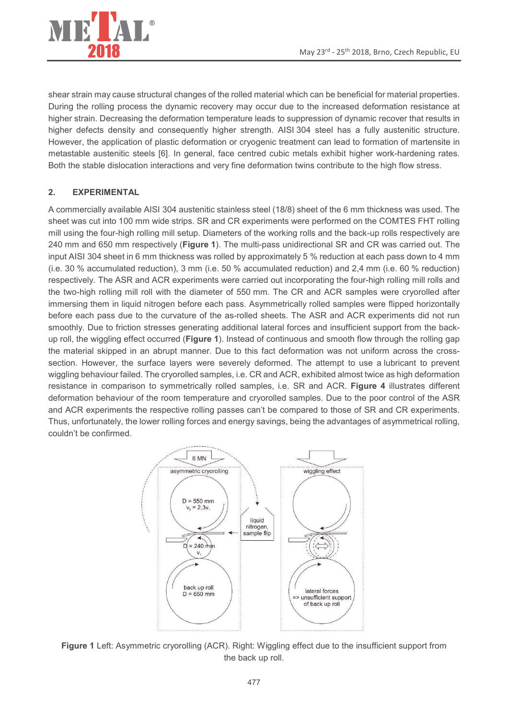

shear strain may cause structural changes of the rolled material which can be beneficial for material properties. During the rolling process the dynamic recovery may occur due to the increased deformation resistance at higher strain. Decreasing the deformation temperature leads to suppression of dynamic recover that results in higher defects density and consequently higher strength. AISI 304 steel has a fully austenitic structure. However, the application of plastic deformation or cryogenic treatment can lead to formation of martensite in metastable austenitic steels [6]. In general, face centred cubic metals exhibit higher work-hardening rates. Both the stable dislocation interactions and very fine deformation twins contribute to the high flow stress.

### $2.$ **EXPERIMENTAL**

A commercially available AISI 304 austenitic stainless steel (18/8) sheet of the 6 mm thickness was used. The sheet was cut into 100 mm wide strips. SR and CR experiments were performed on the COMTES FHT rolling mill using the four-high rolling mill setup. Diameters of the working rolls and the back-up rolls respectively are 240 mm and 650 mm respectively (Figure 1). The multi-pass unidirectional SR and CR was carried out. The input AISI 304 sheet in 6 mm thickness was rolled by approximately 5 % reduction at each pass down to 4 mm (i.e. 30 % accumulated reduction), 3 mm (i.e. 50 % accumulated reduction) and 2.4 mm (i.e. 60 % reduction) respectively. The ASR and ACR experiments were carried out incorporating the four-high rolling mill rolls and the two-high rolling mill roll with the diameter of 550 mm. The CR and ACR samples were cryorolled after immersing them in liquid nitrogen before each pass. Asymmetrically rolled samples were flipped horizontally before each pass due to the curvature of the as-rolled sheets. The ASR and ACR experiments did not run smoothly. Due to friction stresses generating additional lateral forces and insufficient support from the backup roll, the wiggling effect occurred (Figure 1). Instead of continuous and smooth flow through the rolling gap the material skipped in an abrupt manner. Due to this fact deformation was not uniform across the crosssection. However, the surface layers were severely deformed. The attempt to use a lubricant to prevent wiggling behaviour failed. The cryorolled samples, i.e. CR and ACR, exhibited almost twice as high deformation resistance in comparison to symmetrically rolled samples, i.e. SR and ACR. Figure 4 illustrates different deformation behaviour of the room temperature and cryorolled samples. Due to the poor control of the ASR and ACR experiments the respective rolling passes can't be compared to those of SR and CR experiments. Thus, unfortunately, the lower rolling forces and energy savings, being the advantages of asymmetrical rolling, couldn't be confirmed.



Figure 1 Left: Asymmetric cryorolling (ACR). Right: Wiggling effect due to the insufficient support from the back up roll.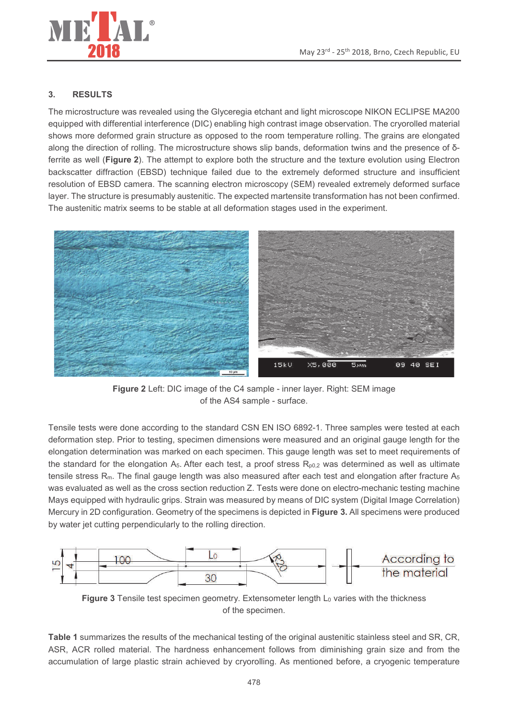

### $3.$ **RESULTS**

The microstructure was revealed using the Glyceregia etchant and light microscope NIKON ECLIPSE MA200 equipped with differential interference (DIC) enabling high contrast image observation. The cryorolled material shows more deformed grain structure as opposed to the room temperature rolling. The grains are elongated along the direction of rolling. The microstructure shows slip bands, deformation twins and the presence of δferrite as well (Figure 2). The attempt to explore both the structure and the texture evolution using Electron backscatter diffraction (EBSD) technique failed due to the extremely deformed structure and insufficient resolution of EBSD camera. The scanning electron microscopy (SEM) revealed extremely deformed surface layer. The structure is presumably austenitic. The expected martensite transformation has not been confirmed. The austenitic matrix seems to be stable at all deformation stages used in the experiment.



Figure 2 Left: DIC image of the C4 sample - inner layer. Right: SEM image of the AS4 sample - surface.

Tensile tests were done according to the standard CSN EN ISO 6892-1. Three samples were tested at each deformation step. Prior to testing, specimen dimensions were measured and an original gauge length for the elongation determination was marked on each specimen. This gauge length was set to meet requirements of the standard for the elongation A<sub>5</sub>. After each test, a proof stress  $R_{p0,2}$  was determined as well as ultimate tensile stress  $R_m$ . The final gauge length was also measured after each test and elongation after fracture  $A_5$ was evaluated as well as the cross section reduction Z. Tests were done on electro-mechanic testing machine Mays equipped with hydraulic grips. Strain was measured by means of DIC system (Digital Image Correlation) Mercury in 2D configuration. Geometry of the specimens is depicted in Figure 3. All specimens were produced by water jet cutting perpendicularly to the rolling direction.



Figure 3 Tensile test specimen geometry. Extensometer length L<sub>0</sub> varies with the thickness of the specimen.

Table 1 summarizes the results of the mechanical testing of the original austenitic stainless steel and SR, CR, ASR, ACR rolled material. The hardness enhancement follows from diminishing grain size and from the accumulation of large plastic strain achieved by cryorolling. As mentioned before, a cryogenic temperature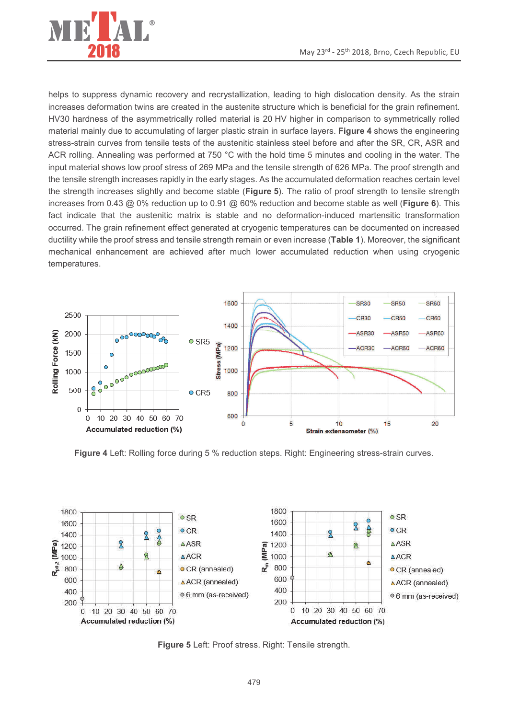

helps to suppress dynamic recovery and recrystallization, leading to high dislocation density. As the strain increases deformation twins are created in the austenite structure which is beneficial for the grain refinement. HV30 hardness of the asymmetrically rolled material is 20 HV higher in comparison to symmetrically rolled material mainly due to accumulating of larger plastic strain in surface layers. Figure 4 shows the engineering stress-strain curves from tensile tests of the austenitic stainless steel before and after the SR, CR, ASR and ACR rolling. Annealing was performed at 750 °C with the hold time 5 minutes and cooling in the water. The input material shows low proof stress of 269 MPa and the tensile strength of 626 MPa. The proof strength and the tensile strength increases rapidly in the early stages. As the accumulated deformation reaches certain level the strength increases slightly and become stable (Figure 5). The ratio of proof strength to tensile strength increases from 0.43  $\omega$  0% reduction up to 0.91  $\omega$  60% reduction and become stable as well (Figure 6). This fact indicate that the austenitic matrix is stable and no deformation-induced martensitic transformation occurred. The grain refinement effect generated at cryogenic temperatures can be documented on increased ductility while the proof stress and tensile strength remain or even increase (Table 1). Moreover, the significant mechanical enhancement are achieved after much lower accumulated reduction when using cryogenic temperatures.



Figure 4 Left: Rolling force during 5 % reduction steps. Right: Engineering stress-strain curves.



Figure 5 Left: Proof stress. Right: Tensile strength.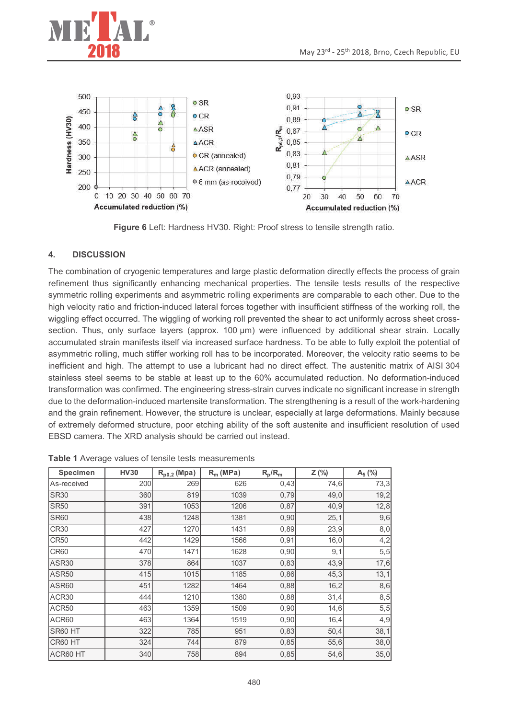



Figure 6 Left: Hardness HV30. Right: Proof stress to tensile strength ratio.

#### $\overline{4}$ . **DISCUSSION**

The combination of cryogenic temperatures and large plastic deformation directly effects the process of grain refinement thus significantly enhancing mechanical properties. The tensile tests results of the respective symmetric rolling experiments and asymmetric rolling experiments are comparable to each other. Due to the high velocity ratio and friction-induced lateral forces together with insufficient stiffness of the working roll, the wigaling effect occurred. The wigaling of working roll prevented the shear to act uniformly across sheet crosssection. Thus, only surface layers (approx. 100 µm) were influenced by additional shear strain. Locally accumulated strain manifests itself via increased surface hardness. To be able to fully exploit the potential of asymmetric rolling, much stiffer working roll has to be incorporated. Moreover, the velocity ratio seems to be inefficient and high. The attempt to use a lubricant had no direct effect. The austenitic matrix of AISI 304 stainless steel seems to be stable at least up to the 60% accumulated reduction. No deformation-induced transformation was confirmed. The engineering stress-strain curves indicate no significant increase in strength due to the deformation-induced martensite transformation. The strengthening is a result of the work-hardening and the grain refinement. However, the structure is unclear, especially at large deformations. Mainly because of extremely deformed structure, poor etching ability of the soft austenite and insufficient resolution of used EBSD camera. The XRD analysis should be carried out instead.

| <b>Specimen</b> | <b>HV30</b> | $R_{p0,2}$ (Mpa) | $R_m$ (MPa) | $R_p/R_m$ | Z(%) | $A_5$ (%) |
|-----------------|-------------|------------------|-------------|-----------|------|-----------|
| As-received     | 200         | 269              | 626         | 0,43      | 74,6 | 73,3      |
| <b>SR30</b>     | 360         | 819              | 1039        | 0,79      | 49,0 | 19,2      |
| <b>SR50</b>     | 391         | 1053             | 1206        | 0,87      | 40,9 | 12,8      |
| <b>SR60</b>     | 438         | 1248             | 1381        | 0,90      | 25,1 | 9,6       |
| <b>CR30</b>     | 427         | 1270             | 1431        | 0,89      | 23,9 | 8,0       |
| <b>CR50</b>     | 442         | 1429             | 1566        | 0,91      | 16,0 | 4,2       |
| <b>CR60</b>     | 470         | 1471             | 1628        | 0,90      | 9,1  | 5, 5      |
| ASR30           | 378         | 864              | 1037        | 0,83      | 43,9 | 17,6      |
| <b>ASR50</b>    | 415         | 1015             | 1185        | 0,86      | 45,3 | 13,1      |
| ASR60           | 451         | 1282             | 1464        | 0,88      | 16,2 | 8,6       |
| ACR30           | 444         | 1210             | 1380        | 0,88      | 31,4 | 8,5       |
| ACR50           | 463         | 1359             | 1509        | 0,90      | 14,6 | 5, 5      |
| ACR60           | 463         | 1364             | 1519        | 0,90      | 16,4 | 4,9       |
| SR60 HT         | 322         | 785              | 951         | 0,83      | 50,4 | 38,1      |
| CR60 HT         | 324         | 744              | 879         | 0,85      | 55,6 | 38,0      |
| ACR60 HT        | 340         | 758              | 894         | 0,85      | 54,6 | 35,0      |

Table 1 Average values of tensile tests measurements